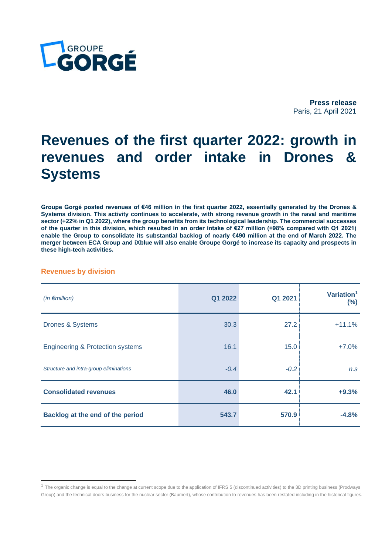

**Press release** Paris, 21 April 2021

# **Revenues of the first quarter 2022: growth in revenues and order intake in Drones & Systems**

**Groupe Gorgé posted revenues of €46 million in the first quarter 2022, essentially generated by the Drones & Systems division. This activity continues to accelerate, with strong revenue growth in the naval and maritime sector (+22% in Q1 2022), where the group benefits from its technological leadership. The commercial successes of the quarter in this division, which resulted in an order intake of €27 million (+98% compared with Q1 2021) enable the Group to consolidate its substantial backlog of nearly €490 million at the end of March 2022. The merger between ECA Group and iXblue will also enable Groupe Gorgé to increase its capacity and prospects in these high-tech activities.**

### **Revenues by division**

| (in $\epsilon$ million)                     | Q1 2022 | Q1 2021 | Variation <sup>1</sup><br>$(\%)$ |
|---------------------------------------------|---------|---------|----------------------------------|
| <b>Drones &amp; Systems</b>                 | 30.3    | 27.2    | $+11.1%$                         |
| <b>Engineering &amp; Protection systems</b> | 16.1    | 15.0    | $+7.0%$                          |
| Structure and intra-group eliminations      | $-0.4$  | $-0.2$  | n.s                              |
| <b>Consolidated revenues</b>                | 46.0    | 42.1    | $+9.3%$                          |
| Backlog at the end of the period            | 543.7   | 570.9   | $-4.8%$                          |

 $1$  The organic change is equal to the change at current scope due to the application of IFRS 5 (discontinued activities) to the 3D printing business (Prodways Group) and the technical doors business for the nuclear sector (Baumert), whose contribution to revenues has been restated including in the historical figures.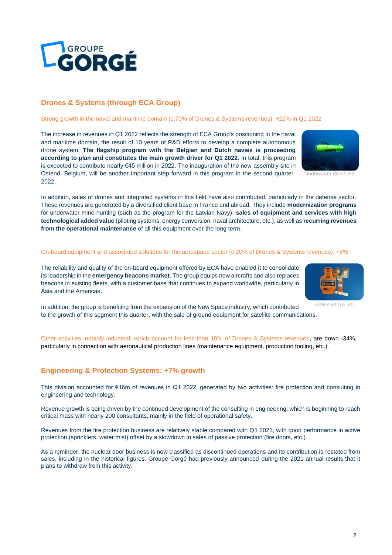GROUPE<br>**: ORGÉ** 

# **Drones & Systems (through ECA Group)**

## Strong growth in the naval and maritime domain (c.70% of Drones & Systems revenues): +22% in Q1 2022

The increase in revenues in Q1 2022 reflects the strength of ECA Group's positioning in the naval and maritime domain, the result of 10 years of R&D efforts to develop a complete autonomous drone system. **The flagship program with the Belgian and Dutch navies is proceeding according to plan and constitutes the main growth driver for Q1 2022**. In total, this program is expected to contribute nearly €45 million in 2022. The inauguration of the new assembly site in Ostend, Belgium, will be another important step forward in this program in the second quarter 2022.

In addition, sales of drones and integrated systems in this field have also contributed, particularly in the defense sector. These revenues are generated by a diversified client base in France and abroad. They include **modernization programs** for underwater mine-hunting (such as the program for the Latvian Navy), **sales of equipment and services with high technological added value** (piloting systems, energy conversion, naval architecture, etc.), as well as **recurring revenues from the operational maintenance** of all this equipment over the long term.

# On-board equipment and associated solutions for the aerospace sector (c.20% of Drones & Systems revenues): +8%

The reliability and quality of the on-board equipment offered by ECA have enabled it to consolidate its leadership in the **emergency beacons market**. The group equips new aircrafts and also replaces beacons in existing fleets, with a customer base that continues to expand worldwide, particularly in Asia and the Americas.

*Balise ELITE SC*

In addition, the group is benefiting from the expansion of the New Space industry, which contributed to the growth of this segment this quarter, with the sale of ground equipment for satellite communications.

Other activities, notably industrial, which account for less than 10% of Drones & Systems revenues, are down -34%, particularly in connection with aeronautical production lines (maintenance equipment, production tooling, etc.).

# **Engineering & Protection Systems: +7% growth**

This division accounted for €16m of revenues in Q1 2022, generated by two activities: fire protection and consulting in engineering and technology.

Revenue growth is being driven by the continued development of the consulting in engineering, which is beginning to reach critical mass with nearly 200 consultants, mainly in the field of operational safety.

Revenues from the fire protection business are relatively stable compared with Q1 2021, with good performance in active protection (sprinklers, water mist) offset by a slowdown in sales of passive protection (fire doors, etc.).

As a reminder, the nuclear door business is now classified as discontinued operations and its contribution is restated from sales, including in the historical figures. Groupe Gorgé had previously announced during the 2021 annual results that it plans to withdraw from this activity.



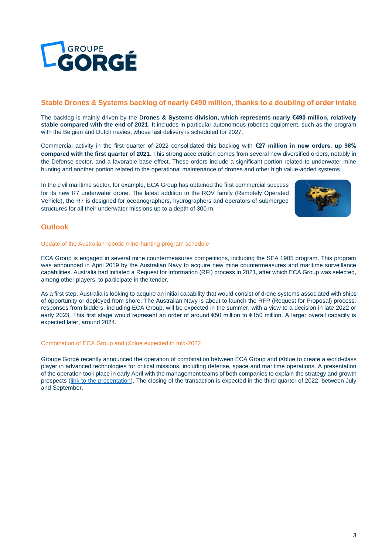

## **Stable Drones & Systems backlog of nearly €490 million, thanks to a doubling of order intake**

The backlog is mainly driven by the **Drones & Systems division, which represents nearly €490 million, relatively stable compared with the end of 2021**. It includes in particular autonomous robotics equipment, such as the program with the Belgian and Dutch navies, whose last delivery is scheduled for 2027.

Commercial activity in the first quarter of 2022 consolidated this backlog with **€27 million in new orders, up 98% compared with the first quarter of 2021**. This strong acceleration comes from several new diversified orders, notably in the Defense sector, and a favorable base effect. These orders include a significant portion related to underwater mine hunting and another portion related to the operational maintenance of drones and other high value-added systems.

In the civil maritime sector, for example, ECA Group has obtained the first commercial success for its new R7 underwater drone. The latest addition to the ROV family (Remotely Operated Vehicle), the R7 is designed for oceanographers, hydrographers and operators of submerged structures for all their underwater missions up to a depth of 300 m.



# **Outlook**

#### Update of the Australian robotic mine-hunting program schedule

ECA Group is engaged in several mine countermeasures competitions, including the SEA 1905 program. This program was announced in April 2019 by the Australian Navy to acquire new mine countermeasures and maritime surveillance capabilities. Australia had initiated a Request for Information (RFI) process in 2021, after which ECA Group was selected, among other players, to participate in the tender.

As a first step, Australia is looking to acquire an initial capability that would consist of drone systems associated with ships of opportunity or deployed from shore. The Australian Navy is about to launch the RFP (Request for Proposal) process: responses from bidders, including ECA Group, will be expected in the summer, with a view to a decision in late 2022 or early 2023. This first stage would represent an order of around €50 million to €150 million. A larger overall capacity is expected later, around 2024.

#### Combination of ECA Group and iXblue expected in mid-2022

Groupe Gorgé recently announced the operation of combination between ECA Group and iXblue to create a world-class player in advanced technologies for critical missions, including defense, space and maritime operations. A presentation of the operation took place in early April with the management teams of both companies to explain the strategy and growth prospects [\(link to the presentation\)](https://www.groupe-gorge.com/wp-content/uploads/2022/04/Presentation-operation-ECA-iXblue-6-avril-2022-1.pdf). The closing of the transaction is expected in the third quarter of 2022, between July and September.